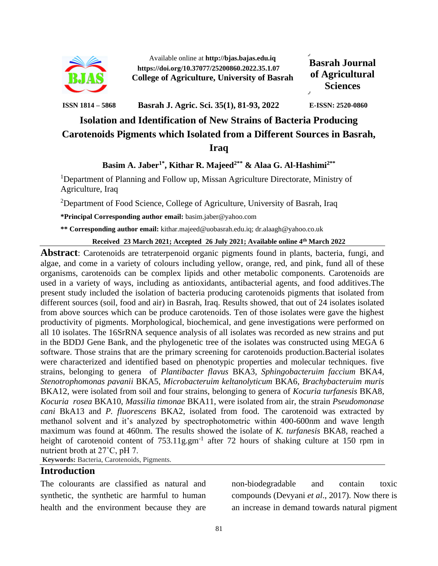

Available online at **http://bjas.bajas.edu.iq https://doi.org/10.37077/25200860.2022.35.1.07 College of Agriculture, University of Basrah**

**Basrah Journal of Agricultural Sciences**

**ISSN 1814 – 5868 Basrah J. Agric. Sci. 35(1), 81-93, 2022 E-ISSN: 2520-0860**

# **Isolation and Identification of New Strains of Bacteria Producing Carotenoids Pigments which Isolated from a Different Sources in Basrah, Iraq**

### **Basim A. Jaber1\* , Kithar R. Majeed2\*\* & Alaa G. Al-Hashimi2\*\***

<sup>1</sup>Department of Planning and Follow up, Missan Agriculture Directorate, Ministry of Agriculture, Iraq

<sup>2</sup>Department of Food Science, College of Agriculture, University of Basrah, Iraq

**\*Principal Corresponding author email:** [basim.jaber@yahoo.com](mailto:basim.jaber@yahoo.com)

**\*\* Corresponding author email:** kithar.majeed@uobasrah.edu.iq; dr.alaagh@yahoo.co.uk

**Received 23 March 2021; Accepted 26 July 2021; Available online 4 th March 2022**

**Abstract**: Carotenoids are tetraterpenoid organic pigments found in plants, bacteria, fungi, and algae, and come in a variety of colours including yellow, orange, red, and pink, fund all of these organisms, carotenoids can be complex lipids and other metabolic components. Carotenoids are used in a variety of ways, including as antioxidants, antibacterial agents, and food additives.The present study included the isolation of bacteria producing carotenoids pigments that isolated from different sources (soil, food and air) in Basrah, Iraq. Results showed, that out of 24 isolates isolated from above sources which can be produce carotenoids. Ten of those isolates were gave the highest productivity of pigments. Morphological, biochemical, and gene investigations were performed on all 10 isolates. The 16SrRNA sequence analysis of all isolates was recorded as new strains and put in the BDDJ Gene Bank, and the phylogenetic tree of the isolates was constructed using MEGA 6 software. Those strains that are the primary screening for carotenoids production.Bacterial isolates were characterized and identified based on phenotypic properties and molecular techniques. five strains, belonging to genera of *Plantibacter flavus* BKA3, *Sphingobacteruim faccium* BKA4*, Stenotrophomonas pavanii* BKA5, *Microbacteruim keltanolyticum* BKA6*, Brachybacteruim muris*  BKA12*,* were isolated from soil and four strains, belonging to genera of *Kocuria turfanesis* BKA8*, Kocuria rosea* BKA10, *Massilia timonae* BKA11, were isolated from air, the strain *Pseudomonase cani* BkA13 and *P. fluorescens* BKA2, isolated from food. The carotenoid was extracted by methanol solvent and it's analyzed by spectrophotometric within 400-600nm and wave length maximum was found at 460nm. The results showed the isolate of *K. turfanesis* BKA8*,* reached a height of carotenoid content of 753.11g.gm<sup>-1</sup> after 72 hours of shaking culture at 150 rpm in nutrient broth at 27˚C, pH 7.

**Keywords:** Bacteria, Carotenoids, Pigments.

#### **Introduction**

The colourants are classified as natural and synthetic, the synthetic are harmful to human health and the environment because they are

non-biodegradable and contain toxic compounds (Devyani *et al*., 2017). Now there is an increase in demand towards natural pigment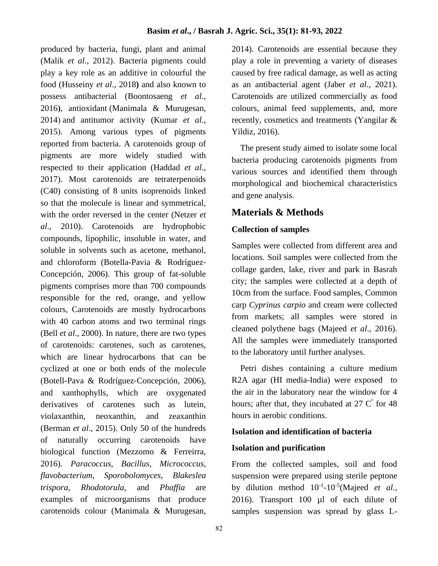produced by bacteria, fungi, plant and animal (Malik *et al*., 2012). Bacteria pigments could play a key role as an additive in colourful the food (Husseiny *et al*., 2018**)** and also known to possess antibacterial (Boontosaeng *et al*., 2016**(**, antioxidant (Manimala & Murugesan, 2014) and antitumor activity (Kumar et al., 2015). Among various types of pigments reported from bacteria. A carotenoids group of pigments are more widely studied with respected to their application (Haddad *et al*., 2017). Most carotenoids are tetraterpenoids (C40) consisting of 8 units isoprenoids linked so that the molecule is linear and symmetrical, with the order reversed in the center (Netzer *et al*., 2010). Carotenoids are hydrophobic compounds, lipophilic, insoluble in water, and soluble in solvents such as acetone, methanol, and chloroform (Botella-Pavia & Rodríguez‐ Concepción, 2006). This group of fat-soluble pigments comprises more than 700 compounds responsible for the red, orange, and yellow colours, Carotenoids are mostly hydrocarbons with 40 carbon atoms and two terminal rings (Bell *et al*., 2000). In nature, there are two types of carotenoids: carotenes, such as carotenes, which are linear hydrocarbons that can be cyclized at one or both ends of the molecule (Botell-Pava & Rodríguez‐Concepción, 2006), and xanthophylls, which are oxygenated derivatives of carotenes such as lutein, violaxanthin, neoxanthin, and zeaxanthin (Berman *et al*., 2015). Only 50 of the hundreds of naturally occurring carotenoids have biological function (Mezzomo & Ferreirra, 2016). *Paracoccus*, *Bacillus*, *Micrococcus*, *flavobacterium*, *Sporobolomyces, Blakeslea trispora*, *Rhodotorula*, and *Phaffia* are examples of microorganisms that produce carotenoids colour (Manimala & Murugesan,

2014). Carotenoids are essential because they play a role in preventing a variety of diseases caused by free radical damage, as well as acting as an antibacterial agent (Jaber *et al*., 2021). Carotenoids are utilized commercially as food colours, animal feed supplements, and, more recently, cosmetics and treatments (Yangilar & Yildiz, 2016).

 The present study aimed to isolate some local bacteria producing carotenoids pigments from various sources and identified them through morphological and biochemical characteristics and gene analysis.

## **Materials & Methods**

## **Collection of samples**

Samples were collected from different area and locations. Soil samples were collected from the collage garden, lake, river and park in Basrah city; the samples were collected at a depth of 10cm from the surface. Food samples, Common carp *Cyprinus carpio* and cream were collected from markets; all samples were stored in cleaned polythene bags (Majeed *et al*., 2016). All the samples were immediately transported to the laboratory until further analyses.

 Petri dishes containing a culture medium R2A agar (HI media-India) were exposed to the air in the laboratory near the window for 4 hours; after that, they incubated at  $27 \text{ C}^{\degree}$  for 48 hours in aerobic conditions.

#### **Isolation and identification of bacteria**

#### **Isolation and purification**

From the collected samples, soil and food suspension were prepared using sterile peptone by dilution method  $10^{-1}$ -10<sup>-5</sup>(Majeed *et al.*, 2016). Transport 100 µl of each dilute of samples suspension was spread by glass L-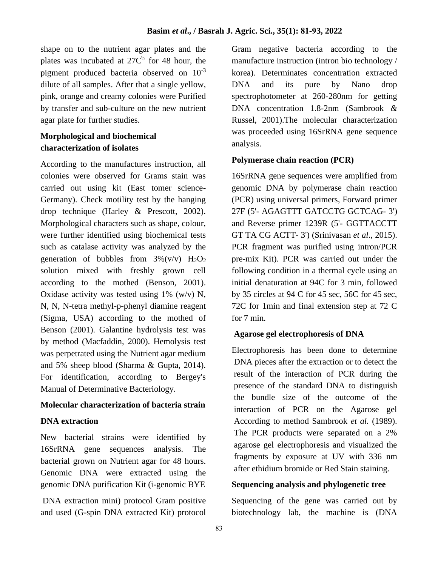shape on to the nutrient agar plates and the plates was incubated at  $27C^{\circ}$  for 48 hour, the pigment produced bacteria observed on  $10^{-3}$ dilute of all samples. After that a single yellow, pink, orange and creamy colonies were Purified by transfer and sub-culture on the new nutrient agar plate for further studies.

## **Morphological and biochemical characterization of isolates**

According to the manufactures instruction, all colonies were observed for Grams stain was carried out using kit (East tomer science-Germany). Check motility test by the hanging drop technique (Harley & Prescott, 2002). Morphological characters such as shape, colour, were further identified using biochemical tests such as catalase activity was analyzed by the generation of bubbles from  $3\%$  (v/v)  $H_2O_2$ solution mixed with freshly grown cell according to the mothed (Benson, 2001). Oxidase activity was tested using  $1\%$  (w/v) N, N, N, N-tetra methyl-p-phenyl diamine reagent (Sigma, USA) according to the mothed of Benson (2001). Galantine hydrolysis test was by method (Macfaddin, 2000). Hemolysis test was perpetrated using the Nutrient agar medium and 5% sheep blood (Sharma & Gupta, 2014). For identification, according to Bergey's Manual of Determinative Bacteriology.

#### **Molecular characterization of bacteria strain**

#### **DNA extraction**

New bacterial strains were identified by 16SrRNA gene sequences analysis. The bacterial grown on Nutrient agar for 48 hours. Genomic DNA were extracted using the genomic DNA purification Kit (i-genomic BYE

DNA extraction mini) protocol Gram positive and used (G-spin DNA extracted Kit) protocol Gram negative bacteria according to the manufacture instruction (intron bio technology / korea). Determinates concentration extracted DNA and its pure by Nano drop spectrophotometer at 260-280nm for getting DNA concentration 1.8-2nm (Sambrook *&*  Russel, 2001).The molecular characterization was proceeded using 16SrRNA gene sequence analysis.

#### **Polymerase chain reaction (PCR)**

16SrRNA gene sequences were amplified from genomic DNA by polymerase chain reaction (PCR) using universal primers, Forward primer 27F (5'- AGAGTTT GATCCTG GCTCAG- 3') and Reverse primer 1239R (5'- GGTTACCTT GT TA CG ACTT- 3') (Srinivasan *et al*., 2015). PCR fragment was purified using intron/PCR pre-mix Kit). PCR was carried out under the following condition in a thermal cycle using an initial denaturation at 94C for 3 min, followed by 35 circles at 94 C for 45 sec, 56C for 45 sec, 72C for 1min and final extension step at 72 C for 7 min.

#### **Agarose gel electrophoresis of DNA**

Electrophoresis has been done to determine DNA pieces after the extraction or to detect the result of the interaction of PCR during the presence of the standard DNA to distinguish the bundle size of the outcome of the interaction of PCR on the Agarose gel According to method Sambrook *et al.* (1989). The PCR products were separated on a 2% agarose gel electrophoresis and visualized the fragments by exposure at UV with 336 nm after ethidium bromide or Red Stain staining.

#### **Sequencing analysis and phylogenetic tree**

Sequencing of the gene was carried out by biotechnology lab, the machine is (DNA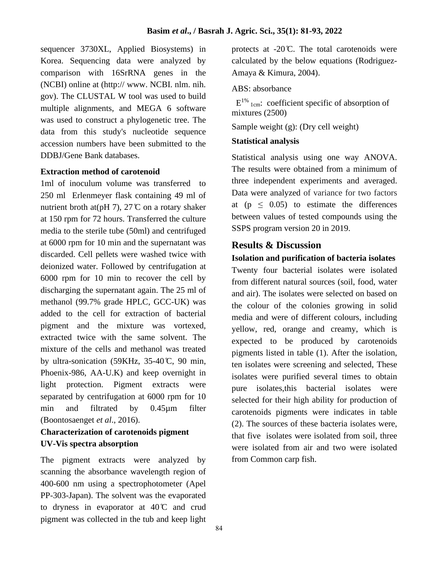sequencer 3730XL, Applied Biosystems) in Korea. Sequencing data were analyzed by comparison with 16SrRNA genes in the (NCBI) online at (http:// www. NCBI. nlm. nih. gov). The CLUSTAL W tool was used to build multiple alignments, and MEGA 6 software was used to construct a phylogenetic tree. The data from this study's nucleotide sequence accession numbers have been submitted to the DDBJ/Gene Bank databases.

#### **Extraction method of carotenoid**

1ml of inoculum volume was transferred to 250 ml Erlenmeyer flask containing 49 ml of nutrient broth at(pH 7),  $27^\circ$ C on a rotary shaker at 150 rpm for 72 hours. Transferred the culture media to the sterile tube (50ml) and centrifuged at 6000 rpm for 10 min and the supernatant was discarded. Cell pellets were washed twice with deionized water. Followed by centrifugation at 6000 rpm for 10 min to recover the cell by discharging the supernatant again. The 25 ml of methanol (99.7% grade HPLC, GCC-UK) was added to the cell for extraction of bacterial pigment and the mixture was vortexed, extracted twice with the same solvent. The mixture of the cells and methanol was treated by ultra-sonication (59KHz, 35-40 ̊C, 90 min, Phoenix-986, AA-U.K) and keep overnight in light protection. Pigment extracts were separated by centrifugation at 6000 rpm for 10 min and filtrated by 0.45µm filter (Boontosaenget *et al*., 2016).

## **Characterization of carotenoids pigment UV-Vis spectra absorption**

The pigment extracts were analyzed by scanning the absorbance wavelength region of 400-600 nm using a spectrophotometer (Apel PP-303-Japan). The solvent was the evaporated to dryness in evaporator at  $40^{\circ}$  cand crud pigment was collected in the tub and keep light

protects at  $-20^{\circ}$ . The total carotenoids were calculated by the below equations (Rodriguez-Amaya & Kimura, 2004).

### ABS: absorbance

 $E^{1\%}$  1cm: coefficient specific of absorption of mixtures (2500)

Sample weight (g): (Dry cell weight)

### **Statistical analysis**

Statistical analysis using one way ANOVA. The results were obtained from a minimum of three independent experiments and averaged. Data were analyzed of variance for two factors at ( $p \leq 0.05$ ) to estimate the differences between values of tested compounds using the SSPS program version 20 in 2019.

## **Results & Discussion**

**Isolation and purification of bacteria isolates** Twenty four bacterial isolates were isolated from different natural sources (soil, food, water and air). The isolates were selected on based on the colour of the colonies growing in solid media and were of different colours, including yellow, red, orange and creamy, which is expected to be produced by carotenoids pigments listed in table (1). After the isolation, ten isolates were screening and selected, These isolates were purified several times to obtain pure isolates,this bacterial isolates were selected for their high ability for production of carotenoids pigments were indicates in table (2). The sources of these bacteria isolates were, that five isolates were isolated from soil, three were isolated from air and two were isolated from Common carp fish.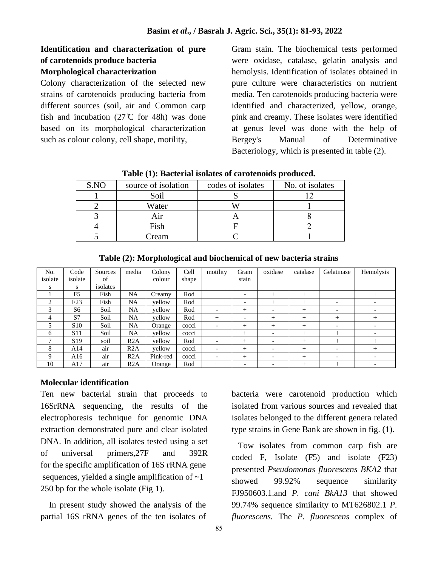### **Identification and characterization of pure of carotenoids produce bacteria Morphological characterization**

Colony characterization of the selected new strains of carotenoids producing bacteria from different sources (soil, air and Common carp fish and incubation  $(27 \, \text{C})$  for 48h) was done based on its morphological characterization such as colour colony, cell shape, motility,

Gram stain. The biochemical tests performed were oxidase, catalase, gelatin analysis and hemolysis. Identification of isolates obtained in pure culture were characteristics on nutrient media. Ten carotenoids producing bacteria were identified and characterized, yellow, orange, pink and creamy. These isolates were identified at genus level was done with the help of Bergey's Manual of Determinative Bacteriology, which is presented in table (2).

| S.NO | source of isolation | codes of isolates | No. of isolates |
|------|---------------------|-------------------|-----------------|
|      | Soil                |                   |                 |
|      | Water               |                   |                 |
|      |                     |                   |                 |
|      | Fish                |                   |                 |
|      | ream                |                   |                 |

**Table (1): Bacterial isolates of carotenoids produced.**

| No.           | Code            | Sources  | media     | Colony   | Cell  | motility                 | Gram                     | oxidase                  | catalase | Gelatinase               | Hemolysis                |
|---------------|-----------------|----------|-----------|----------|-------|--------------------------|--------------------------|--------------------------|----------|--------------------------|--------------------------|
| isolate       | isolate         | of       |           | colour   | shape |                          | stain                    |                          |          |                          |                          |
| S             | S               | isolates |           |          |       |                          |                          |                          |          |                          |                          |
|               | F <sub>5</sub>  | Fish     | <b>NA</b> | Creamy   | Rod   | $^{+}$                   | $\overline{\phantom{0}}$ | $^{+}$                   | $^{+}$   | $^{+}$                   | $^{+}$                   |
| $\mathcal{L}$ | F23             | Fish     | NA        | vellow   | Rod   | $^{+}$                   | $\overline{\phantom{0}}$ | $^{+}$                   | $^{+}$   | $\overline{\phantom{a}}$ | $\overline{\phantom{0}}$ |
|               | S6              | Soil     | NA        | yellow   | Rod   |                          | $+$                      |                          | $^{+}$   | $\overline{\phantom{0}}$ |                          |
| 4             | S7              | Soil     | NA        | vellow   | Rod   | $^{+}$                   | $\overline{\phantom{a}}$ | $^{+}$                   | $^{+}$   | $^{+}$                   | $^{+}$                   |
| 5             | S <sub>10</sub> | Soil     | NA        | Orange   | cocci | $\overline{\phantom{0}}$ | $^{+}$                   | $^{+}$                   | $^{+}$   | $\overline{\phantom{0}}$ |                          |
| 6             | S <sub>11</sub> | Soil     | NA.       | yellow   | cocci | $^{+}$                   | $+$                      | $\overline{\phantom{0}}$ | $^{+}$   | $+$                      |                          |
|               | S <sub>19</sub> | soil     | R2A       | vellow   | Rod   | $\overline{\phantom{0}}$ | $+$                      |                          | $^{+}$   | $^{+}$                   | $^{+}$                   |
| 8             | A14             | air      | R2A       | yellow   | cocci | $\overline{\phantom{a}}$ | $+$                      | $\overline{\phantom{a}}$ | $^{+}$   | $\overline{\phantom{a}}$ | $^{+}$                   |
| 9             | A16             | air      | R2A       | Pink-red | cocci | $\overline{\phantom{0}}$ | $^{+}$                   |                          | $^{+}$   | $\overline{\phantom{0}}$ |                          |
| 10            | A17             | air      | R2A       | Orange   | Rod   | $^{+}$                   |                          |                          | $+$      | $^{+}$                   |                          |

**Table (2): Morphological and biochemical of new bacteria strains**

#### **Molecular identification**

Ten new bacterial strain that proceeds to 16SrRNA sequencing, the results of the electrophoresis technique for genomic DNA extraction demonstrated pure and clear isolated DNA. In addition, all isolates tested using a set of universal primers,27F and 392R for the specific amplification of 16S rRNA gene sequences, yielded a single amplification of  $\sim$ 1 250 bp for the whole isolate (Fig 1).

 In present study showed the analysis of the partial 16S rRNA genes of the ten isolates of bacteria were carotenoid production which isolated from various sources and revealed that isolates belonged to the different genera related type strains in Gene Bank are shown in fig. (1).

 Tow isolates from common carp fish are coded F, Isolate (F5) and isolate (F23) presented *Pseudomonas fluorescens BKA2* that showed 99.92% sequence similarity FJ950603.1.and *P. cani BkA13* that showed 99.74% sequence similarity to MT626802.1 *P. fluorescens.* The *P. fluorescens* complex of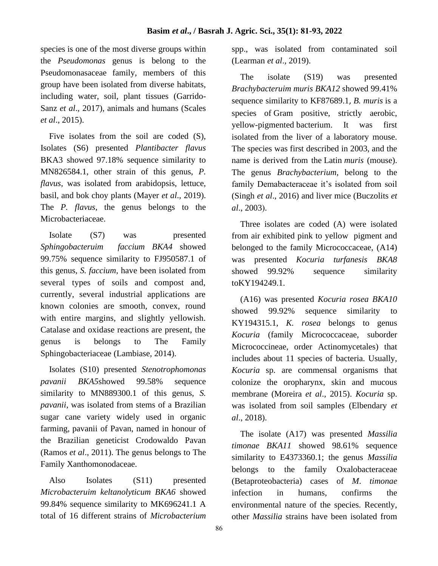species is one of the most diverse groups within the *Pseudomonas* genus is belong to the Pseudomonasaceae family, members of this group have been isolated from diverse habitats, including water, soil, plant tissues (Garrido-Sanz *et al*., 2017), animals and humans [\(Scales](https://www.frontiersin.org/articles/10.3389/fmicb.2017.00413/full#B33)  *et al*[., 2015\)](https://www.frontiersin.org/articles/10.3389/fmicb.2017.00413/full#B33).

 Five isolates from the soil are coded (S), Isolates (S6) presented *Plantibacter flavus*  BKA3 showed 97.18% sequence similarity to MN826584.1, other strain of this genus, *P. flavus*, was isolated from arabidopsis, lettuce, basil, and bok choy plants (Mayer *et al*., 2019). The *P. flavus*, the genus belongs to the Microbacteriaceae.

 Isolate (S7) was presented *Sphingobacteruim faccium BKA4* showed 99.75% sequence similarity to FJ950587.1 of this genus, *S. faccium*, have been isolated from several types of soils and compost and, currently, several industrial applications are known colonies are smooth, convex, round with entire margins, and slightly yellowish. Catalase and oxidase reactions are present, the genus is belongs to The Family Sphingobacteriaceae (Lambiase, 2014).

 Isolates (S10) presented *Stenotrophomonas pavanii BKA5*showed 99.58% sequence similarity to MN889300.1 of this genus, *S. pavanii*, was isolated from stems of a Brazilian sugar cane variety widely used in organic farming, pavanii of Pavan, named in honour of the Brazilian geneticist Crodowaldo Pavan (Ramos *et al*., 2011). The genus belongs to The Family Xanthomonodaceae.

 Also Isolates (S11) presented *Microbacteruim keltanolyticum BKA6* showed 99.84% sequence similarity to MK696241.1 A total of 16 different strains of *Microbacterium* 

spp., was isolated from contaminated soil (Learman *et al*., 2019).

 The isolate (S19) was presented *Brachybacteruim muris BKA12* showed 99.41% sequence similarity to KF87689.1, *B. muris* is a species of [Gram positive,](https://en.wikipedia.org/wiki/Gram_positive) strictly aerobic, yellow-pigmented [bacterium.](https://en.wikipedia.org/wiki/Bacterium) It was first isolated from the liver of a laboratory mouse. The species was first described in 2003, and the name is derived from the [Latin](https://en.wikipedia.org/wiki/Latin) *muris* (mouse). The genus *Brachybacterium*, belong to the family Demabacteraceae it's isolated from soil (Singh *et al*., 2016) and liver mice (Buczolits *et al.*, 2003).

 Three isolates are coded (A) were isolated from air exhibited pink to yellow pigment and belonged to the family Micrococcaceae, (A14) was presented *Kocuria turfanesis BKA8* showed 99.92% sequence similarity toKY194249.1.

 (A16) was presented *Kocuria rosea BKA10* showed 99.92% sequence similarity to KY194315.1, *K. rosea* belongs to genus *Kocuria* (family Micrococcaceae, suborder Micrococcineae, order Actinomycetales) that includes about 11 species of bacteria. Usually, *Kocuria* sp. are commensal organisms that colonize the oropharynx, skin and mucous membrane (Moreira *et al*., 2015). *Kocuria* sp. was isolated from soil samples (Elbendary *et al*., 2018).

 The isolate (A17) was presented *Massilia timonae BKA11* showed 98.61% sequence similarity to E4373360.1; the genus *Massilia* belongs to the family Oxalobacteraceae (Betaproteobacteria) cases of *M*. *timonae* infection in humans, confirms the environmental nature of the species. Recently, other *Massilia* strains have been isolated from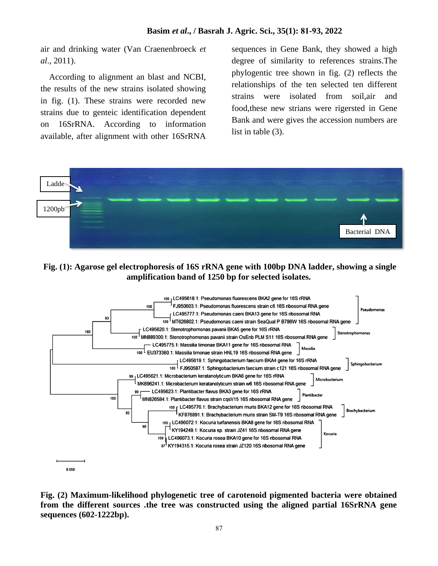air and drinking water (Van Craenenbroeck *et al*., 2011).

 According to alignment an blast and NCBI, the results of the new strains isolated showing in fig. (1). These strains were recorded new strains due to genteic identification dependent on 16SrRNA. According to information available, after alignment with other 16SrRNA sequences in Gene Bank, they showed a high degree of similarity to references strains.The phylogentic tree shown in fig. (2) reflects the relationships of the ten selected ten different strains were isolated from soil,air and food,these new strians were rigersted in Gene Bank and were gives the accession numbers are list in table (3).



### **Fig. (1): Agarose gel electrophoresis of 16S rRNA gene with 100bp DNA ladder, showing a single amplification band of 1250 bp for selected isolates.**



**Fig. (2) Maximum-likelihood phylogenetic tree of carotenoid pigmented bacteria were obtained from the different sources .the tree was constructed using the aligned partial 16SrRNA gene sequences (602-1222bp).**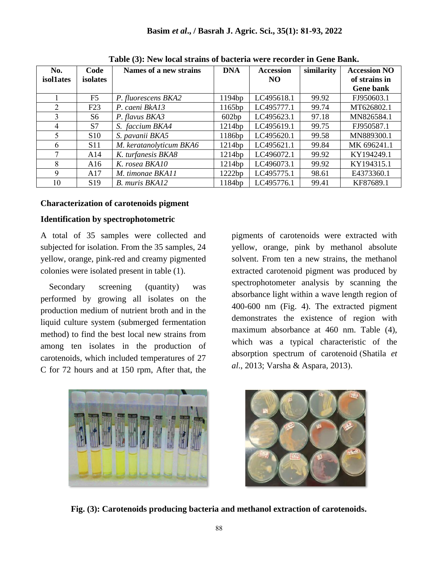| No.              | Code            | Names of a new strains  | <b>DNA</b> | <b>Accession</b> | similarity | <b>Accession NO</b> |
|------------------|-----------------|-------------------------|------------|------------------|------------|---------------------|
| <i>isollates</i> | isolates        |                         |            | NO.              |            | of strains in       |
|                  |                 |                         |            |                  |            | <b>Gene bank</b>    |
|                  | F5              | P. fluorescens BKA2     | 1194bp     | LC495618.1       | 99.92      | FJ950603.1          |
| $\overline{2}$   | F23             | P. caeni BkA13          | 1165bp     | LC495777.1       | 99.74      | MT626802.1          |
| 3                | S6              | P. flavus BKA3          | 602bp      | LC495623.1       | 97.18      | MN826584.1          |
| 4                | S7              | S. faccium BKA4         | 1214bp     | LC495619.1       | 99.75      | FJ950587.1          |
| 5                | S <sub>10</sub> | S. pavanii BKA5         | 1186bp     | LC495620.1       | 99.58      | MN889300.1          |
| 6                | S11             | M. keratanolyticum BKA6 | 1214bp     | LC495621.1       | 99.84      | MK 696241.1         |
| 7                | A14             | K. turfanesis BKA8      | 1214bp     | LC496072.1       | 99.92      | KY194249.1          |
| 8                | A16             | K. rosea BKA10          | 1214bp     | LC496073.1       | 99.92      | KY194315.1          |
| 9                | A17             | M. timonae BKA11        | 1222bp     | LC495775.1       | 98.61      | E4373360.1          |
| 10               | S <sub>19</sub> | B. muris BKA12          | 1184bp     | LC495776.1       | 99.41      | KF87689.1           |

**Table (3): New local strains of bacteria were recorder in Gene Bank.**

#### **Characterization of carotenoids pigment**

#### **Identification by spectrophotometric**

A total of 35 samples were collected and subjected for isolation. From the 35 samples, 24 yellow, orange, pink-red and creamy pigmented colonies were isolated present in table (1).

Secondary screening (quantity) was performed by growing all isolates on the production medium of nutrient broth and in the liquid culture system (submerged fermentation method) to find the best local new strains from among ten isolates in the production of carotenoids, which included temperatures of 27 C for 72 hours and at 150 rpm, After that, the

pigments of carotenoids were extracted with yellow, orange, pink by methanol absolute solvent. From ten a new strains, the methanol extracted carotenoid pigment was produced by spectrophotometer analysis by scanning the absorbance light within a wave length region of 400-600 nm (Fig. 4). The extracted pigment demonstrates the existence of region with maximum absorbance at 460 nm. Table (4), which was a typical characteristic of the absorption spectrum of carotenoid (Shatila et *al.*, 2013; Varsha & Aspara, 2013).





**Fig. (3): Carotenoids producing bacteria and methanol extraction of carotenoids.**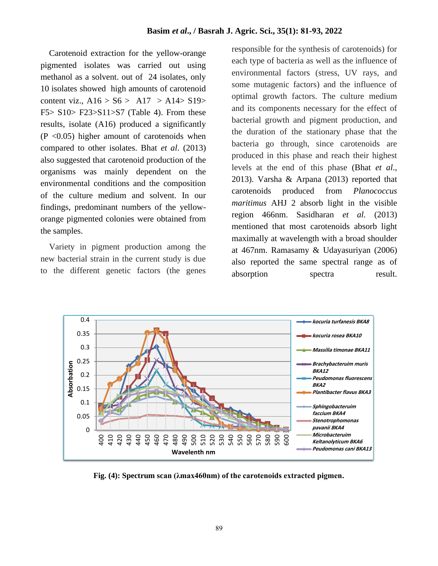Carotenoid extraction for the yellow-orange pigmented isolates was carried out using methanol as a solvent. out of 24 isolates, only 10 isolates showed high amounts of carotenoid content viz.,  $A16 > S6 > A17 > A14 > S19>$ F5> S10> F23>S11>S7 (Table 4). From these results, isolate (A16) produced a significantly  $(P \le 0.05)$  higher amount of carotenoids when compared to other isolates. Bhat *et al*. (2013) also suggested that carotenoid production of the organisms was mainly dependent on the environmental conditions and the composition of the culture medium and solvent. In our findings, predominant numbers of the yelloworange pigmented colonies were obtained from the samples.

 Variety in pigment production among the new bacterial strain in the current study is due to the different genetic factors (the genes responsible for the synthesis of carotenoids) for each type of bacteria as well as the influence of environmental factors (stress, UV rays, and some mutagenic factors) and the influence of optimal growth factors. The culture medium and its components necessary for the effect of bacterial growth and pigment production, and the duration of the stationary phase that the bacteria go through, since carotenoids are produced in this phase and reach their highest levels at the end of this phase (Bhat *et al*., 2013). Varsha & Arpana (2013) reported that carotenoids produced from *Planococcus maritimus* AHJ 2 absorb light in the visible region 466nm. Sasidharan *et al.* (2013) mentioned that most carotenoids absorb light maximally at wavelength with a broad shoulder at 467nm. Ramasamy & Udayasuriyan (2006) also reported the same spectral range as of absorption spectra result.



**Fig. (4): Spectrum scan (λmax460nm) of the carotenoids extracted pigmen.**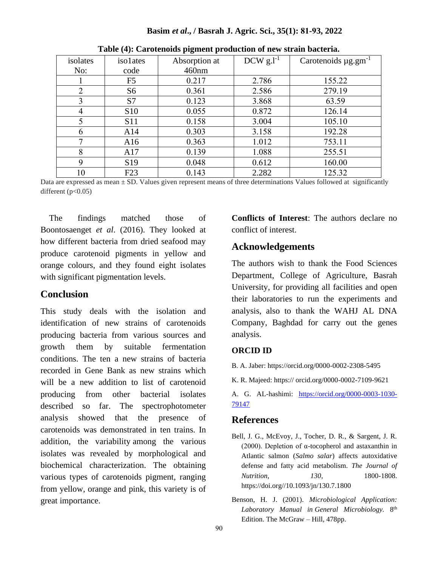| r o            |                 |                                 |       |                                      |  |  |  |  |
|----------------|-----------------|---------------------------------|-------|--------------------------------------|--|--|--|--|
| isolates       | isolates        | DCW $g.l^{-1}$<br>Absorption at |       | Carotenoids $\mu$ g.gm <sup>-1</sup> |  |  |  |  |
| No:            | code            | 460nm                           |       |                                      |  |  |  |  |
|                | F5              | 0.217                           | 2.786 | 155.22                               |  |  |  |  |
| $\overline{2}$ | S <sub>6</sub>  | 0.361                           | 2.586 | 279.19                               |  |  |  |  |
| 3              | S7              | 0.123                           | 3.868 | 63.59                                |  |  |  |  |
| 4              | <b>S10</b>      | 0.055                           | 0.872 | 126.14                               |  |  |  |  |
| 5              | <b>S11</b>      | 0.158                           | 3.004 | 105.10                               |  |  |  |  |
| 6              | A14             | 0.303                           | 3.158 | 192.28                               |  |  |  |  |
|                | A16             | 0.363                           | 1.012 | 753.11                               |  |  |  |  |
| 8              | A17             | 0.139                           | 1.088 | 255.51                               |  |  |  |  |
| 9              | S <sub>19</sub> | 0.048                           | 0.612 | 160.00                               |  |  |  |  |
| 10             | F23             | 0.143                           | 2.282 | 125.32                               |  |  |  |  |

**Table (4): Carotenoids pigment production of new strain bacteria.**

**Basim** *et al***., / Basrah J. Agric. Sci., 35(1): 81-93, 2022**

Data are expressed as mean  $\pm$  SD. Values given represent means of three determinations Values followed at significantly different  $(p<0.05)$ 

 The findings matched those of Boontosaenget *et al*. (2016). They looked at how different bacteria from dried seafood may produce carotenoid pigments in yellow and orange colours, and they found eight isolates with significant pigmentation levels.

## **Conclusion**

This study deals with the isolation and identification of new strains of carotenoids producing bacteria from various sources and growth them by suitable fermentation conditions. The ten a new strains of bacteria recorded in Gene Bank as new strains which will be a new addition to list of carotenoid producing from other bacterial isolates described so far. The spectrophotometer analysis showed that the presence of carotenoids was demonstrated in ten trains. In addition, the variability among the various isolates was revealed by morphological and biochemical characterization. The obtaining various types of carotenoids pigment, ranging from yellow, orange and pink, this variety is of great importance.

**Conflicts of Interest**: The authors declare no conflict of interest.

## **Acknowledgements**

The authors wish to thank the Food Sciences Department, College of Agriculture, Basrah University, for providing all facilities and open their laboratories to run the experiments and analysis, also to thank the WAHJ AL DNA Company, Baghdad for carry out the genes analysis.

#### **ORCID ID**

B. A. Jaber: https://orcid.org/0000-0002-2308-5495

K. R. Majeed: https:// orcid.org/0000-0002-7109-9621

A. G. AL-hashimi: [https://orcid.org/0000-0003-1030-](https://orcid.org/0000-0003-1030-79147) [79147](https://orcid.org/0000-0003-1030-79147)

## **References**

- Bell, J. G., McEvoy, J., Tocher, D. R., & Sargent, J. R. (2000). Depletion of  $\alpha$ -tocopherol and astaxanthin in Atlantic salmon (*Salmo salar*) affects autoxidative defense and fatty acid metabolism. *The Journal of Nutrition, 130*, 1800-1808. https://doi.org//10.1093/jn/130.7.1800
- Benson, H. J. (2001). *Microbiological Application: Laboratory Manual in General Microbiology.* 8 th Edition. The McGraw – Hill, 478pp.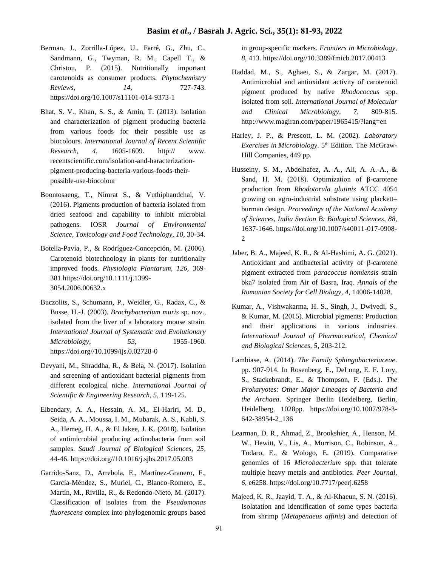- Berman, J., Zorrilla-López, U., Farré, G., Zhu, C., Sandmann, G., Twyman, R. M., Capell T., & Christou, P. (2015). Nutritionally important carotenoids as consumer products. *Phytochemistry Reviews, 14,* 727-743. https://doi.org/10.1007/s11101-014-9373-1
- Bhat, S. V., Khan, S. S., & Amin, T. (2013). Isolation and characterization of pigment producing bacteria from various foods for their possible use as biocolours. *International Journal of Recent Scientific Research, 4,* 1605-1609. http:// www. recentscientific.com/isolation-and-haracterizationpigment-producing-bacteria-various-foods-theirpossible-use-biocolour
- Boontosaeng, T., Nimrat S., & Vuthiphandchai, V. (2016). Pigments production of bacteria isolated from dried seafood and capability to inhibit microbial pathogens. IOSR *Journal of Environmental Science, Toxicology and Food Technology, 10*, 30-34.
- Botella‐Pavía, P., & Rodríguez‐Concepción, M. (2006). Carotenoid biotechnology in plants for nutritionally improved foods. *Physiologia Plantarum, 126,* 369- 381.https://doi.org/10.1111/j.1399- 3054.2006.00632.x
- Buczolits, S., Schumann, P., Weidler, G., Radax, C., & Busse, H.-J. (2003). *Brachybacterium muris* sp. nov., isolated from the liver of a laboratory mouse strain*. International Journal of Systematic and Evolutionary Microbiology, 53*, 1955-1960 . https://doi.org//10.1099/ijs.0.02728-0
- Devyani, M., Shraddha, R., & Bela, N. (2017). Isolation and screening of antioxidant bacterial pigments from different ecological niche. *International Journal of Scientific & Engineering Research, 5,* 119-125.
- Elbendary, A. A., Hessain, A. M., El-Hariri, M. D., Seida, A. A., Moussa, I. M., Mubarak, A. S., Kabli, S. A., Hemeg, H. A., & El Jakee, J. K. (2018). Isolation of antimicrobial producing actinobacteria from soil samples. *Saudi Journal of Biological Sciences, 25,* 44-46. https://doi.org//10.1016/j.sjbs.2017.05.003
- Garrido-Sanz, D., Arrebola, E., Martínez-Granero, F., García-Méndez, S., Muriel, C., Blanco-Romero, E., Martín, M., Rivilla, R., & Redondo-Nieto, M. (2017). Classification of isolates from the *Pseudomonas fluorescens* complex into phylogenomic groups based

in group-specific markers. *Frontiers in Microbiology, 8,* 413. https://doi.org//10.3389/fmicb.2017.00413

- Haddad, M., S., Aghaei, S., & Zargar, M. (2017). Antimicrobial and antioxidant activity of carotenoid pigment produced by native *Rhodococcus* spp. isolated from soil. *International Journal of Molecular and Clinical Microbiology, 7*, 809-815. http://www.magiran.com/paper/1965415/?lang=en
- Harley, J. P., & Prescott, L. M. (2002). *Laboratory Exercises in Microbiology*. 5th Edition. The McGraw-Hill Companies, 449 pp.
- Husseiny, S. M., Abdelhafez, A. A., Ali, A. A.-A., & Sand, H. M. (2018). Optimization of β-carotene production from *Rhodotorula glutinis* ATCC 4054 growing on agro-industrial substrate using plackett– burman design. *Proceedings of the National Academy of Sciences, India Section B: Biological Sciences*, *88,* 1637-1646. https://doi.org/10.1007/s40011-017-0908- 2
- Jaber, B. A., Majeed, K. R., & Al-Hashimi, A. G. (2021). Antioxidant and antibacterial activity of β-carotene pigment extracted from *paracoccus homiensis* strain bka7 isolated from Air of Basra, Iraq. *Annals of the Romanian Society for Cell Biology*, *4*, 14006-14028.
- Kumar, A., Vishwakarma, H. S., Singh, J., Dwivedi, S., & Kumar, M. (2015). Microbial pigments: Production and their applications in various industries*. International Journal of Pharmaceutical, Chemical and Biological Sciences, 5*, 203-212.
- Lambiase, A. (2014). *The Family Sphingobacteriaceae*. pp. 907-914. In Rosenberg, E., DeLong, E. F. Lory, S., Stackebrandt, E., & Thompson, F. (Eds.). *The Prokaryotes: Other Major Lineages of Bacteria and the Archaea*. Springer Berlin Heidelberg, Berlin, Heidelberg. 1028pp. https://doi.org/10.1007/978-3- 642-38954-2\_136
- Learman, D. R., Ahmad, Z., Brookshier, A., Henson, M. W., Hewitt, V., Lis, A., Morrison, C., Robinson, A., Todaro, E., & Wologo, E. (2019). Comparative genomics of 16 *Microbacterium* spp. that tolerate multiple heavy metals and antibiotics. *Peer Journal*, *6,* e6258. https://doi.org/10.7717/peerj.6258
- Majeed, K. R., Jaayid, T. A., & Al-Khaeun, S. N. (2016). Isolatation and identification of some types bacteria from shrimp (*Metapenaeus affinis*) and detection of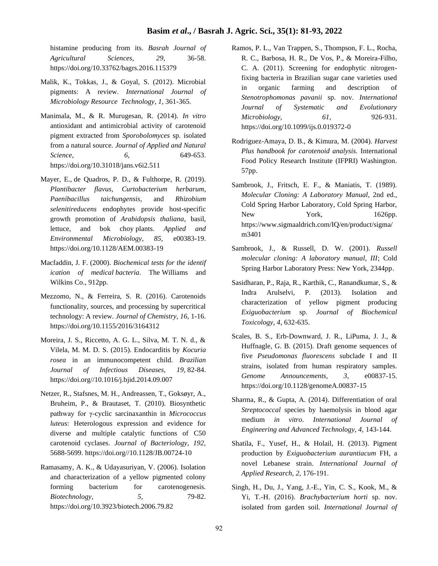#### **Basim** *et al***., / Basrah J. Agric. Sci., 35(1): 81-93, 2022**

histamine producing from its. *Basrah Journal of Agricultural Sciences*, *29*, 36-58. https://doi.org/10.33762/bagrs.2016.115379

- Malik, K., Tokkas, J., & Goyal, S. (2012). Microbial pigments: A review. *International Journal of Microbiology Resource Technology*, *1*, 361-365.
- Manimala, M., & R. Murugesan, R. (2014). *In vitro* antioxidant and antimicrobial activity of carotenoid pigment extracted from *Sporobolomyces* sp. isolated from a natural source. *Journal of Applied and Natural Science, 6*, 649-653. https://doi.org/10.31018/jans.v6i2.511
- Mayer, E., de Quadros, P. D., & Fulthorpe, R. (2019). *Plantibacter flavus*, *Curtobacterium herbarum*, *Paenibacillus taichungensis*, and *Rhizobium selenitireducens* endophytes provide host-specific growth promotion of *Arabidopsis thaliana*, basil, lettuce, and bok choy plants. *Applied and Environmental Microbiology, 85,* e00383-19. https://doi.org/10.1128/AEM.00383-19
- Macfaddin, J. F. (2000). *Biochemical tests for the identif ication of medical bacteria*. The Williams and Wilkins Co., 912pp.
- Mezzomo, N., & Ferreira, S. R. (2016). Carotenoids functionality, sources, and processing by supercritical technology: A review. *Journal of Chemistry, 16*, 1-16. https://doi.org/10.1155/2016/3164312
- Moreira, J. S., Riccetto, A. G. L., Silva, M. T. N. d., & Vilela, M. M. D. S. (2015). Endocarditis by *Kocuria rosea* in an immunocompetent child. *Brazilian Journal of Infectious Diseases, 19,* 82-84. https://doi.org//10.1016/j.bjid.2014.09.007
- Netzer, R., Stafsnes, M. H., Andreassen, T., Goksøyr, A., Bruheim, P., & Brautaset, T. (2010). Biosynthetic pathway for γ-cyclic sarcinaxanthin in *Micrococcus luteus*: Heterologous expression and evidence for diverse and multiple catalytic functions of C50 carotenoid cyclases. *Journal of Bacteriology, 192,* 5688-5699. https://doi.org//10.1128/JB.00724-10
- Ramasamy, A. K., & Udayasuriyan, V. (2006). Isolation and characterization of a yellow pigmented colony forming bacterium for carotenogenesis. *Biotechnology, 5,* 79-82. https://doi.org/10.3923/biotech.2006.79.82
- Ramos, P. L., Van Trappen, S., Thompson, F. L., Rocha, R. C., Barbosa, H. R., De Vos, P., & Moreira-Filho, C. A. (2011). Screening for endophytic nitrogenfixing bacteria in Brazilian sugar cane varieties used in organic farming and description of *Stenotrophomonas pavanii* sp. nov. *International Journal of Systematic and Evolutionary Microbiology, 61,* 926-931. https://doi.org/10.1099/ijs.0.019372-0
- Rodriguez-Amaya, D. B., & Kimura, M. (2004). *Harvest Plus handbook for carotenoid analysis.* International Food Policy Research Institute (IFPRI) Washington. 57pp.
- Sambrook, J., Fritsch, E. F., & Maniatis, T. (1989). *Molecular Cloning: A Laboratory Manual,* 2nd ed., Cold Spring Harbor Laboratory, Cold Spring Harbor, New York, 1626pp. https://www.sigmaaldrich.com/IQ/en/product/sigma/ m3401
- Sambrook, J., & Russell, D. W. (2001). *Russell molecular cloning: A laboratory manual, III*; Cold Spring Harbor Laboratory Press: New York, 2344pp.
- Sasidharan, P., Raja, R., Karthik, C., Ranandkumar, S., & Indra Arulselvi, P. (2013). Isolation and characterization of yellow pigment producing *Exiguobacterium* sp. *Journal of Biochemical Toxicology, 4*, 632-635.
- Scales, B. S., Erb-Downward, J. R., LiPuma, J. J., & Huffnagle, G. B. (2015). Draft genome sequences of five *Pseudomonas fluorescens* subclade I and II strains, isolated from human respiratory samples. *Genome Announcements, 3*, e00837-15. https://doi.org/10.1128/genomeA.00837-15
- Sharma, R., & Gupta, A. (2014). Differentiation of oral *Streptococcal* species by haemolysis in blood agar medium *in vitro*. *International Journal of Engineering and Advanced Technology, 4,* 143-144.
- Shatila, F., Yusef, H., & Holail, H. (2013). Pigment production by *Exiguobacterium aurantiacum* FH, a novel Lebanese strain. *International Journal of Applied Research, 2,* 176-191.
- Singh, H., Du, J., Yang, J.-E., Yin, C. S., Kook, M., & Yi, T.-H. (2016). *Brachybacterium horti* sp. nov. isolated from garden soil. *International Journal of*